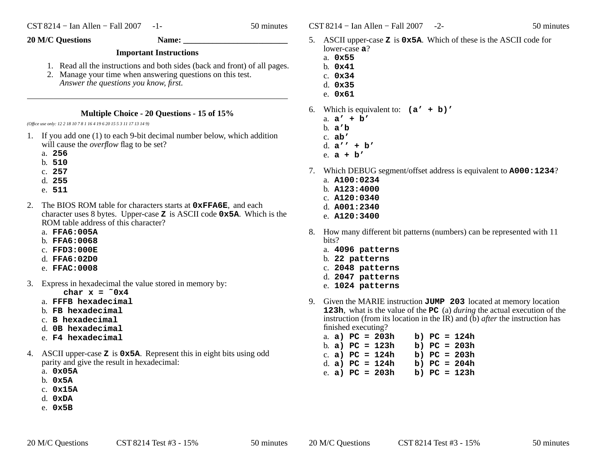$\text{CST } 8214 - \text{I}$ an Allen – Fall 2007 -2- 50 minutes

- 5. ASCII upper-case **<sup>Z</sup>** is **0x5A**. Which of these is the ASCII code for lower-case **<sup>a</sup>**?
	- a. **0x55**
	- b. **0x41**
	- c. **0x34**
	- d. **0x35**
	- e. **0x61**
- 6. Which is equivalent to: **(a' + b)'**
	- a. **<sup>a</sup>' + b'**b. **<sup>a</sup>'b**
	- c. **ab'**
	- d. **<sup>a</sup>'' + b'**
	- e. **a+b'**
- 7. Which DEBUG segment/offset address is equivalent to **A000:1234**?
	- a. **A100:0234**
	- b. **A123:4000**
	- c. **A120:0340**
	- d. **A001:2340**
	- e. **A120:3400**
- 8. How many different bit patterns (numbers) can be represented with 11bits?
	- a. **4096 patterns**
	- b. **22 patterns**
	- c. **2048 patterns**
	- d. **2047 patterns**
	- e. **1024 patterns**
- 9. Given the MARIE instruction  $JUMP$  203 located at memory location **123h**, what is the value of the **PC** (a) *during* the actual execution of the instruction (from its location in the IR) and (b) *after* the instruction has finished executing?
	- a. **a) PC = 203h b) PC = 124h** b. **a) PC = 123h b) PC = 203h** c. **a) PC = 124h b) PC = 203h** d. **a) PC = 124h b) PC = 204h** e. **a) PC = 203h b) PC = 123h**

**20 M/C Questions Name: \_\_\_\_\_\_\_\_\_\_\_\_\_\_\_\_\_\_\_\_\_\_\_\_\_**

## **Important Instructions**

- 1. Read all the instructions and both sides (back and front) of all pages.
- 2. Manage your time when answering questions on this test. *Answer the questions you know, first.*

## **Multiple Choice - 20 Questions - 15 of 15%**

*(Office use only: 12 2 18 10 7 8 1 16 4 19 6 20 15 5 3 11 17 13 14 9)*

- 1. If you add one (1) to each 9-bit decimal number below, which additionwill cause the *overflow* flag to be set?
	- a. **256**
	- b. **510**
	- c. **257**
	- d. **255**
	- e. **511**
- 2. The BIOS ROM table for characters starts at **0xFFA6E**, and each character uses 8 bytes. Upper-case **<sup>Z</sup>** is ASCII code **0x5A**. Which is the ROM table address of this character?
	- a. **FFA6:005A**
	- b. **FFA6:0068**
	- c. **FFD3:000E**
	- d. **FFA6:02D0**
	- e. **FFAC:0008**
- 3. Express in hexadecimal the value stored in memory by:

char  $x = 0x4$ 

- a. **FFFB hexadecimal**
- b. **FB hexadecimal**
- c. **<sup>B</sup> hexadecimal**
- d. **0B hexadecimal**
- e. **F4 hexadecimal**
- 4. ASCII upper-case **<sup>Z</sup>** is **0x5A**. Represent this in eight bits using odd parity and give the result in hexadecimal:
	- a. **0x05A**
	- b. **0x5A**
	- c. **0x15A**
	- d. **0xDA**
	- e. **0x5B**